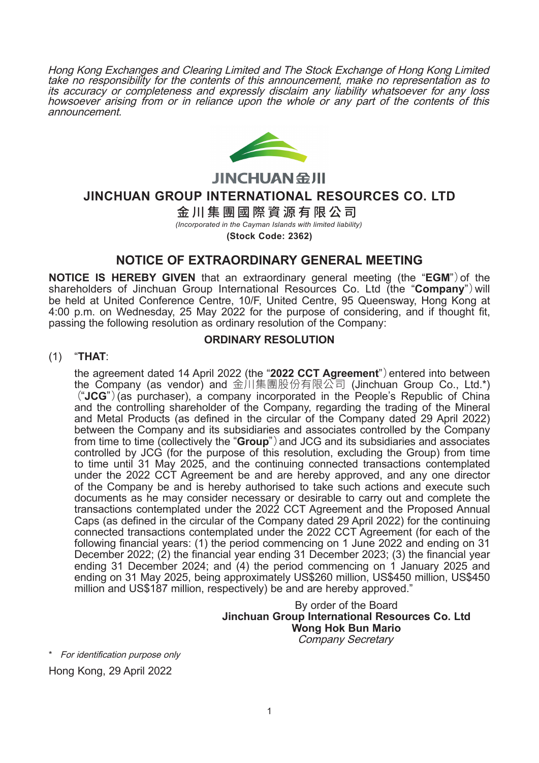Hong Kong Exchanges and Clearing Limited and The Stock Exchange of Hong Kong Limited take no responsibility for the contents of this announcement, make no representation as to its accuracy or completeness and expressly disclaim any liability whatsoever for any loss howsoever arising from or in reliance upon the whole or any part of the contents of this announcement.



**JINCHUAN SHI** 

**JINCHUAN GROUP INTERNATIONAL RESOURCES CO. LTD**

金川集團國際資源有限公司

*(Incorporated in the Cayman Islands with limited liability)*

**(Stock Code: 2362)**

# **NOTICE OF EXTRAORDINARY GENERAL MEETING**

**NOTICE IS HEREBY GIVEN** that an extraordinary general meeting (the "**EGM**")of the shareholders of Jinchuan Group International Resources Co. Ltd (the "**Company**")will be held at United Conference Centre, 10/F, United Centre, 95 Queensway, Hong Kong at 4:00 p.m. on Wednesday, 25 May 2022 for the purpose of considering, and if thought fit, passing the following resolution as ordinary resolution of the Company:

## **ORDINARY RESOLUTION**

# (1) "**THAT**:

the agreement dated 14 April 2022 (the "**2022 CCT Agreement**")entered into between the Company (as vendor) and 金川集團股份有限公司 (Jinchuan Group Co., Ltd.\*) ("**JCG**")(as purchaser), a company incorporated in the People's Republic of China and the controlling shareholder of the Company, regarding the trading of the Mineral and Metal Products (as defined in the circular of the Company dated 29 April 2022) between the Company and its subsidiaries and associates controlled by the Company from time to time (collectively the "**Group**")and JCG and its subsidiaries and associates controlled by JCG (for the purpose of this resolution, excluding the Group) from time to time until 31 May 2025, and the continuing connected transactions contemplated under the 2022 CCT Agreement be and are hereby approved, and any one director of the Company be and is hereby authorised to take such actions and execute such documents as he may consider necessary or desirable to carry out and complete the transactions contemplated under the 2022 CCT Agreement and the Proposed Annual Caps (as defined in the circular of the Company dated 29 April 2022) for the continuing connected transactions contemplated under the 2022 CCT Agreement (for each of the following financial years: (1) the period commencing on 1 June 2022 and ending on 31 December 2022; (2) the financial year ending 31 December 2023; (3) the financial year ending 31 December 2024; and (4) the period commencing on 1 January 2025 and ending on 31 May 2025, being approximately US\$260 million, US\$450 million, US\$450 million and US\$187 million, respectively) be and are hereby approved."

### By order of the Board **Jinchuan Group International Resources Co. Ltd Wong Hok Bun Mario** Company Secretary

\* For identification purpose only Hong Kong, 29 April 2022